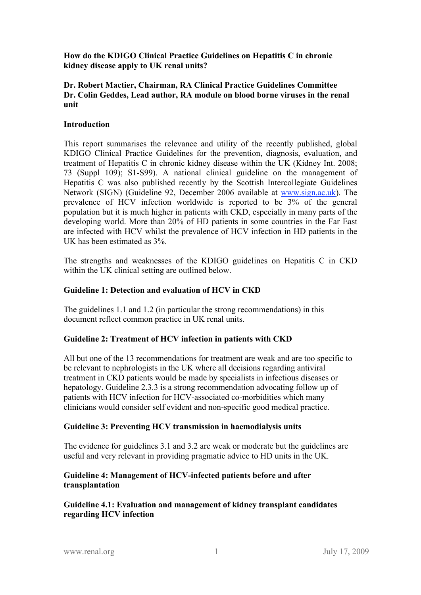**How do the KDIGO Clinical Practice Guidelines on Hepatitis C in chronic kidney disease apply to UK renal units?**

#### **Dr. Robert Mactier, Chairman, RA Clinical Practice Guidelines Committee Dr. Colin Geddes, Lead author, RA module on blood borne viruses in the renal unit**

#### **Introduction**

This report summarises the relevance and utility of the recently published, global KDIGO Clinical Practice Guidelines for the prevention, diagnosis, evaluation, and treatment of Hepatitis C in chronic kidney disease within the UK (Kidney Int. 2008; 73 (Suppl 109); S1-S99). A national clinical guideline on the management of Hepatitis C was also published recently by the Scottish Intercollegiate Guidelines Network (SIGN) (Guideline 92, December 2006 available at www.sign.ac.uk). The prevalence of HCV infection worldwide is reported to be 3% of the general population but it is much higher in patients with CKD, especially in many parts of the developing world. More than 20% of HD patients in some countries in the Far East are infected with HCV whilst the prevalence of HCV infection in HD patients in the UK has been estimated as 3%.

The strengths and weaknesses of the KDIGO guidelines on Hepatitis C in CKD within the UK clinical setting are outlined below.

### **Guideline 1: Detection and evaluation of HCV in CKD**

The guidelines 1.1 and 1.2 (in particular the strong recommendations) in this document reflect common practice in UK renal units.

## **Guideline 2: Treatment of HCV infection in patients with CKD**

All but one of the 13 recommendations for treatment are weak and are too specific to be relevant to nephrologists in the UK where all decisions regarding antiviral treatment in CKD patients would be made by specialists in infectious diseases or hepatology. Guideline 2.3.3 is a strong recommendation advocating follow up of patients with HCV infection for HCV-associated co-morbidities which many clinicians would consider self evident and non-specific good medical practice.

## **Guideline 3: Preventing HCV transmission in haemodialysis units**

The evidence for guidelines 3.1 and 3.2 are weak or moderate but the guidelines are useful and very relevant in providing pragmatic advice to HD units in the UK.

## **Guideline 4: Management of HCV-infected patients before and after transplantation**

**Guideline 4.1: Evaluation and management of kidney transplant candidates regarding HCV infection**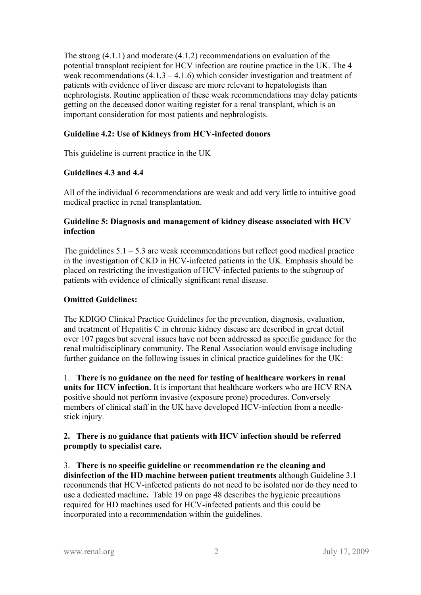The strong (4.1.1) and moderate (4.1.2) recommendations on evaluation of the potential transplant recipient for HCV infection are routine practice in the UK. The 4 weak recommendations  $(4.1.3 - 4.1.6)$  which consider investigation and treatment of patients with evidence of liver disease are more relevant to hepatologists than nephrologists. Routine application of these weak recommendations may delay patients getting on the deceased donor waiting register for a renal transplant, which is an important consideration for most patients and nephrologists.

# **Guideline 4.2: Use of Kidneys from HCV-infected donors**

This guideline is current practice in the UK

## **Guidelines 4.3 and 4.4**

All of the individual 6 recommendations are weak and add very little to intuitive good medical practice in renal transplantation.

## **Guideline 5: Diagnosis and management of kidney disease associated with HCV infection**

The guidelines  $5.1 - 5.3$  are weak recommendations but reflect good medical practice in the investigation of CKD in HCV-infected patients in the UK. Emphasis should be placed on restricting the investigation of HCV-infected patients to the subgroup of patients with evidence of clinically significant renal disease.

# **Omitted Guidelines:**

The KDIGO Clinical Practice Guidelines for the prevention, diagnosis, evaluation, and treatment of Hepatitis C in chronic kidney disease are described in great detail over 107 pages but several issues have not been addressed as specific guidance for the renal multidisciplinary community. The Renal Association would envisage including further guidance on the following issues in clinical practice guidelines for the UK:

1. **There is no guidance on the need for testing of healthcare workers in renal units for HCV infection.** It is important that healthcare workers who are HCV RNA positive should not perform invasive (exposure prone) procedures. Conversely members of clinical staff in the UK have developed HCV-infection from a needlestick injury.

## **2. There is no guidance that patients with HCV infection should be referred promptly to specialist care.**

3. **There is no specific guideline or recommendation re the cleaning and disinfection of the HD machine between patient treatments** although Guideline 3.1 recommends that HCV-infected patients do not need to be isolated nor do they need to use a dedicated machine**.** Table 19 on page 48 describes the hygienic precautions required for HD machines used for HCV-infected patients and this could be incorporated into a recommendation within the guidelines.